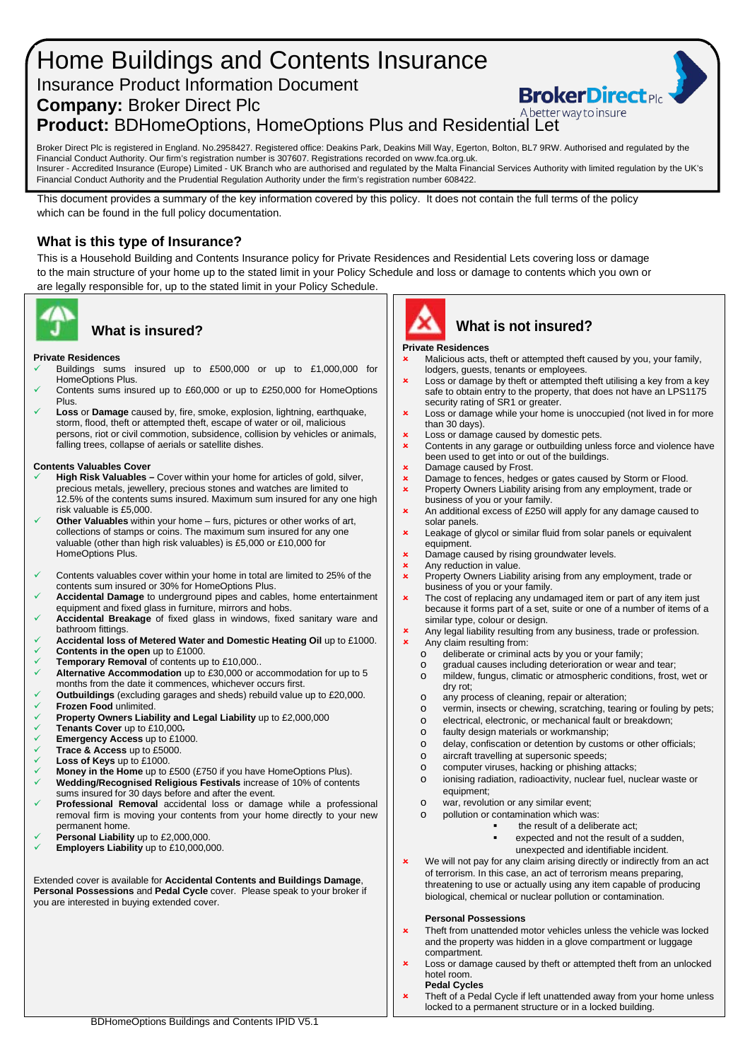# Home Buildings and Contents Insurance Insurance Product Information Document

**Company:** Broker Direct Plc

A better way to insure **Product:** BDHomeOptions, HomeOptions Plus and Residential Let

Broker Direct Plc is registered in England. No.2958427. Registered office: Deakins Park, Deakins Mill Way, Egerton, Bolton, BL7 9RW. Authorised and regulated by the Financial Conduct Authority. Our firm's registration number is 307607. Registrations recorded on www.fca.org.uk. Insurer - Accredited Insurance (Europe) Limited - UK Branch who are authorised and regulated by the Malta Financial Services Authority with limited regulation by the UK's Financial Conduct Authority and the Prudential Regulation Authority under the firm's registration number 608422.

This document provides a summary of the key information covered by this policy. It does not contain the full terms of the policy which can be found in the full policy documentation.

# **What is this type of Insurance?**

This is a Household Building and Contents Insurance policy for Private Residences and Residential Lets covering loss or damage to the main structure of your home up to the stated limit in your Policy Schedule and loss or damage to contents which you own or are legally responsible for, up to the stated limit in your Policy Schedule.



# **What is insured?**

#### **Private Residences**

- Buildings sums insured up to £500,000 or up to £1,000,000 for HomeOptions Plus.
- Contents sums insured up to £60,000 or up to £250,000 for HomeOptions Plus.
- **Loss** or **Damage** caused by, fire, smoke, explosion, lightning, earthquake, storm, flood, theft or attempted theft, escape of water or oil, malicious persons, riot or civil commotion, subsidence, collision by vehicles or animals, falling trees, collapse of aerials or satellite dishes.

#### **Contents Valuables Cover**

- **High Risk Valuables –** Cover within your home for articles of gold, silver, precious metals, jewellery, precious stones and watches are limited to 12.5% of the contents sums insured. Maximum sum insured for any one high risk valuable is £5,000.
- **Other Valuables** within your home furs, pictures or other works of art, collections of stamps or coins. The maximum sum insured for any one valuable (other than high risk valuables) is £5,000 or £10,000 for HomeOptions Plus.
- $\checkmark$  Contents valuables cover within your home in total are limited to 25% of the contents sum insured or 30% for HomeOptions Plus.
- **Accidental Damage** to underground pipes and cables, home entertainment equipment and fixed glass in furniture, mirrors and hobs.
- **Accidental Breakage** of fixed glass in windows, fixed sanitary ware and bathroom fittings.
- **Accidental loss of Metered Water and Domestic Heating Oil** up to £1000. **Contents in the open** up to £1000.
- **Temporary Removal** of contents up to £10,000..
- **Alternative Accommodation** up to £30,000 or accommodation for up to 5 months from the date it commences, whichever occurs first.
- **Outbuildings** (excluding garages and sheds) rebuild value up to £20,000. **Frozen Food** unlimited.
- **Property Owners Liability and Legal Liability** up to £2,000,000<br> **V** Tenants Cover up to £10,000
- **Tenants Cover** up to £10,000.
- **Emergency Access** up to £1000.
- **Trace & Access** up to £5000.
- **Loss of Keys** up to £1000.
- **Money in the Home** up to £500 (£750 if you have HomeOptions Plus). **Wedding/Recognised Religious Festivals** increase of 10% of contents
- sums insured for 30 days before and after the event. **Professional Removal** accidental loss or damage while a professional removal firm is moving your contents from your home directly to your new permanent home.
- **Personal Liability** up to £2,000,000.
- **Employers Liability** up to £10,000,000.

Extended cover is available for **Accidental Contents and Buildings Damage**, **Personal Possessions** and **Pedal Cycle** cover. Please speak to your broker if you are interested in buying extended cover.





#### **Private Residences**

 Malicious acts, theft or attempted theft caused by you, your family, lodgers, guests, tenants or employees.

**BrokerDirect** 

- **x** Loss or damage by theft or attempted theft utilising a key from a key safe to obtain entry to the property, that does not have an LPS1175 security rating of SR1 or greater.
- **x** Loss or damage while your home is unoccupied (not lived in for more than 30 days).
- **x** Loss or damage caused by domestic pets.
- Contents in any garage or outbuilding unless force and violence have been used to get into or out of the buildings.
- $\frac{\mathsf{x}}{\mathsf{x}}$  Damage caused by Frost.
- **x** Damage to fences, hedges or gates caused by Storm or Flood.<br>**x** Property Owners Liability arising from any employment trade or
- Property Owners Liability arising from any employment, trade or business of you or your family.
- **x** An additional excess of £250 will apply for any damage caused to solar panels.
- **x** Leakage of glycol or similar fluid from solar panels or equivalent equipment.
- $\frac{\mathbf{x}}{\mathbf{x}}$  Damage caused by rising groundwater levels.
- $\frac{\mathbf{x}}{\mathbf{x}}$  Any reduction in value.
- Property Owners Liability arising from any employment, trade or business of you or your family.
- **x** The cost of replacing any undamaged item or part of any item just because it forms part of a set, suite or one of a number of items of a similar type, colour or design.
- **x** Any legal liability resulting from any business, trade or profession. Any claim resulting from:
	- o deliberate or criminal acts by you or your family;<br>o gradual causes including deterioration or wear a
	- gradual causes including deterioration or wear and tear;
	- o mildew, fungus, climatic or atmospheric conditions, frost, wet or dry rot;
	- o any process of cleaning, repair or alteration;<br>o vermin. insects or chewing. scratching. tearing
	- o vermin, insects or chewing, scratching, tearing or fouling by pets;<br>
	o electrical, electronic, or mechanical fault or breakdown;
	- o electrical, electronic, or mechanical fault or breakdown;<br>o faulty design materials or workmanship;
	- faulty design materials or workmanship;
	- o delay, confiscation or detention by customs or other officials;<br>o aircraft travelling at supersonic speeds:
	- aircraft travelling at supersonic speeds;
	-
	- o computer viruses, hacking or phishing attacks;<br>o ionising radiation, radioactivity, nuclear fuel, nu ionising radiation, radioactivity, nuclear fuel, nuclear waste or equipment;
	- o war, revolution or any similar event;
	- o pollution or contamination which was:
		- the result of a deliberate act;
			- expected and not the result of a sudden,
				- unexpected and identifiable incident.
- **x** We will not pay for any claim arising directly or indirectly from an act of terrorism. In this case, an act of terrorism means preparing, threatening to use or actually using any item capable of producing biological, chemical or nuclear pollution or contamination.

#### **Personal Possessions**

- $\mathbf x$  Theft from unattended motor vehicles unless the vehicle was locked and the property was hidden in a glove compartment or luggage compartment.
- **x** Loss or damage caused by theft or attempted theft from an unlocked hotel room.
	- **Pedal Cycles**
- **x** Theft of a Pedal Cycle if left unattended away from your home unless locked to a permanent structure or in a locked building.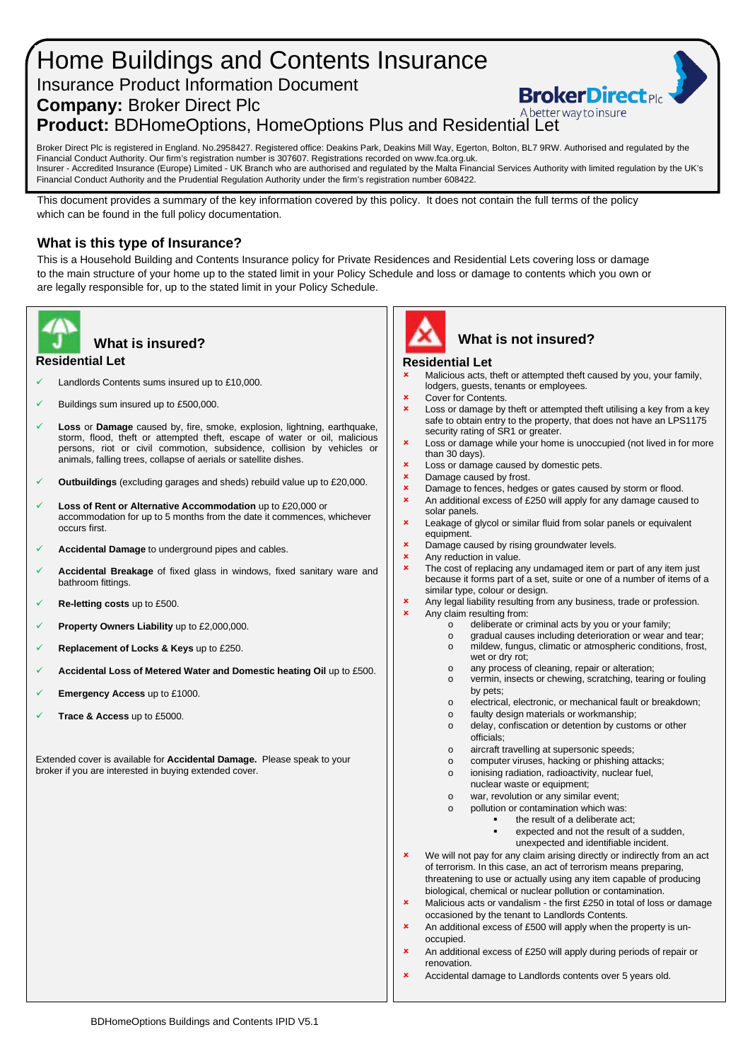## Home Buildings and Contents Insurance Insurance Product Information Document **BrokerDirect Company:** Broker Direct Plc A better way to insure **Product:** BDHomeOptions, HomeOptions Plus and Residential Let

Broker Direct Plc is registered in England. No.2958427. Registered office: Deakins Park, Deakins Mill Way, Egerton, Bolton, BL7 9RW. Authorised and regulated by the Financial Conduct Authority. Our firm's registration number is 307607. Registrations recorded on www.fca.org.uk. Insurer - Accredited Insurance (Europe) Limited - UK Branch who are authorised and regulated by the Malta Financial Services Authority with limited regulation by the UK's Financial Conduct Authority and the Prudential Regulation Authority under the firm's registration number 608422.

This document provides a summary of the key information covered by this policy. It does not contain the full terms of the policy which can be found in the full policy documentation.

## **What is this type of Insurance?**

This is a Household Building and Contents Insurance policy for Private Residences and Residential Lets covering loss or damage to the main structure of your home up to the stated limit in your Policy Schedule and loss or damage to contents which you own or are legally responsible for, up to the stated limit in your Policy Schedule.



## **Residential Let What is insured?**

- Landlords Contents sums insured up to £10,000.
- Buildings sum insured up to £500,000.
- **Loss** or **Damage** caused by, fire, smoke, explosion, lightning, earthquake, storm, flood, theft or attempted theft, escape of water or oil, malicious persons, riot or civil commotion, subsidence, collision by vehicles or animals, falling trees, collapse of aerials or satellite dishes.
- **Outbuildings** (excluding garages and sheds) rebuild value up to £20,000.
- **Loss of Rent or Alternative Accommodation** up to £20,000 or accommodation for up to 5 months from the date it commences, whichever occurs first.
- **Accidental Damage** to underground pipes and cables.
- **Accidental Breakage** of fixed glass in windows, fixed sanitary ware and bathroom fittings.
- **Re-letting costs** up to £500.
- **Property Owners Liability** up to £2,000,000.
- **Replacement of Locks & Keys** up to £250.
- **Accidental Loss of Metered Water and Domestic heating Oil** up to £500.
- **Emergency Access** up to £1000.
- **Trace & Access** up to £5000.

Extended cover is available for **Accidental Damage.** Please speak to your broker if you are interested in buying extended cover.



# **What is not insured?**

#### **Residential Let**

- Malicious acts, theft or attempted theft caused by you, your family, lodgers, guests, tenants or employees.
- Cover for Contents.
- Loss or damage by theft or attempted theft utilising a key from a key safe to obtain entry to the property, that does not have an LPS1175 security rating of SR1 or greater.
- **x** Loss or damage while your home is unoccupied (not lived in for more than 30 days).
- **x** Loss or damage caused by domestic pets.
- $\frac{\text{L}}{\text{D}}$  Damage caused by frost.
- Damage to fences, hedges or gates caused by storm or flood.
- **x** An additional excess of £250 will apply for any damage caused to solar panels.
- **x** Leakage of glycol or similar fluid from solar panels or equivalent equipment.
- **x** Damage caused by rising groundwater levels.
- Any reduction in value.
- **x** The cost of replacing any undamaged item or part of any item just because it forms part of a set, suite or one of a number of items of a similar type, colour or design.
- **x** Any legal liability resulting from any business, trade or profession.<br>Any claim resulting from:
	- Any claim resulting from:
		- o deliberate or criminal acts by you or your family;<br>o gradual causes including deterioration or wear a
		- o gradual causes including deterioration or wear and tear;<br>
		o mildew, fungus, climatic or atmospheric conditions, frost, mildew, fungus, climatic or atmospheric conditions, frost, wet or dry rot;
		-
		- o any process of cleaning, repair or alteration;<br>o vermin, insects or chewing, scratching, teari vermin, insects or chewing, scratching, tearing or fouling by pets;
		- o electrical, electronic, or mechanical fault or breakdown;<br>o faulty design materials or workmanship:
		- faulty design materials or workmanship;
		- o delay, confiscation or detention by customs or other officials;
		- o aircraft travelling at supersonic speeds;
		- o computer viruses, hacking or phishing attacks;
		- o ionising radiation, radioactivity, nuclear fuel,
		- nuclear waste or equipment; o war, revolution or any similar event;
			-
		- $\circ$  pollution or contamination which was:<br>the result of a deliberate as the result of a deliberate act;
			- expected and not the result of a sudden,
				- unexpected and identifiable incident.
- **x** We will not pay for any claim arising directly or indirectly from an act of terrorism. In this case, an act of terrorism means preparing, threatening to use or actually using any item capable of producing biological, chemical or nuclear pollution or contamination.
- **x** Malicious acts or vandalism the first £250 in total of loss or damage occasioned by the tenant to Landlords Contents.
- An additional excess of £500 will apply when the property is unoccupied.
- An additional excess of £250 will apply during periods of repair or renovation.
- Accidental damage to Landlords contents over 5 years old.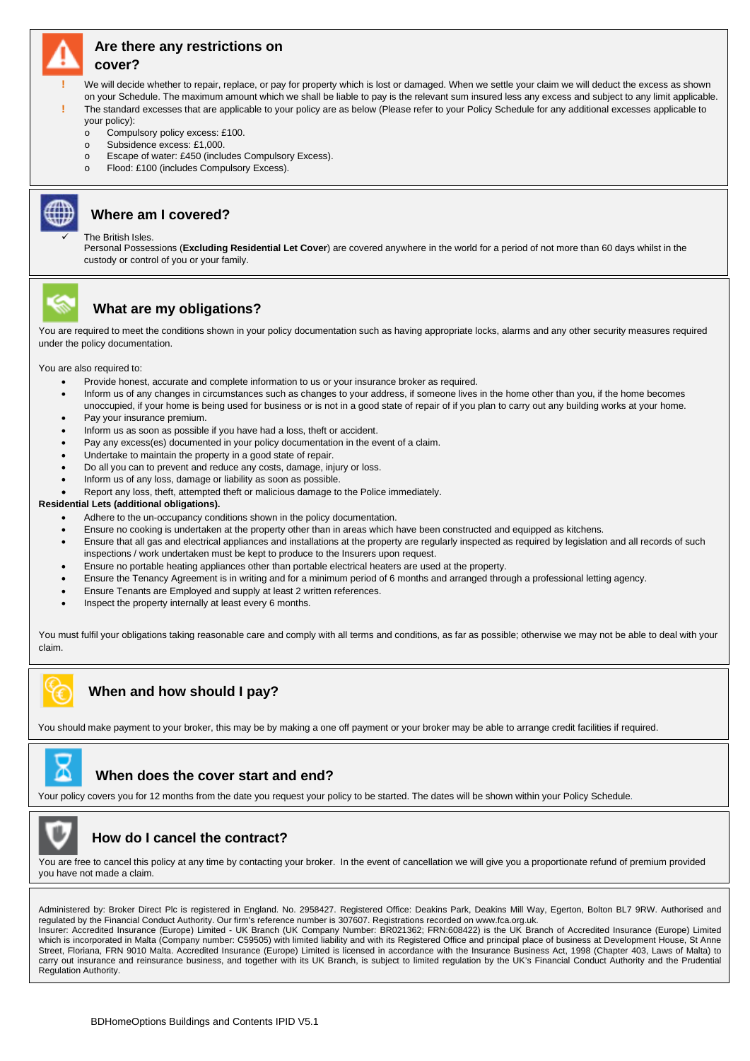

# **Are there any restrictions on**

#### **cover?**

- **!** We will decide whether to repair, replace, or pay for property which is lost or damaged. When we settle your claim we will deduct the excess as shown on your Schedule. The maximum amount which we shall be liable to pay is the relevant sum insured less any excess and subject to any limit applicable.
	- **!** The standard excesses that are applicable to your policy are as below (Please refer to your Policy Schedule for any additional excesses applicable to your policy):
	- o Compulsory policy excess: £100.
	- o Subsidence excess: £1,000.
	- o Escape of water: £450 (includes Compulsory Excess).
	- o Flood: £100 (includes Compulsory Excess).



## **Where am I covered?**

#### The British Isles.

Personal Possessions (**Excluding Residential Let Cover**) are covered anywhere in the world for a period of not more than 60 days whilst in the custody or control of you or your family.



## **What are my obligations?**

You are required to meet the conditions shown in your policy documentation such as having appropriate locks, alarms and any other security measures required under the policy documentation.

You are also required to:

- Provide honest, accurate and complete information to us or your insurance broker as required.
- Inform us of any changes in circumstances such as changes to your address, if someone lives in the home other than you, if the home becomes unoccupied, if your home is being used for business or is not in a good state of repair of if you plan to carry out any building works at your home. Pay your insurance premium.
- 
- Inform us as soon as possible if you have had a loss, theft or accident.
- Pay any excess(es) documented in your policy documentation in the event of a claim.
- Undertake to maintain the property in a good state of repair.
- Do all you can to prevent and reduce any costs, damage, injury or loss.
- Inform us of any loss, damage or liability as soon as possible.
- Report any loss, theft, attempted theft or malicious damage to the Police immediately.

#### **Residential Lets (additional obligations).**

- Adhere to the un-occupancy conditions shown in the policy documentation.
- Ensure no cooking is undertaken at the property other than in areas which have been constructed and equipped as kitchens.
- Ensure that all gas and electrical appliances and installations at the property are regularly inspected as required by legislation and all records of such inspections / work undertaken must be kept to produce to the Insurers upon request.
- Ensure no portable heating appliances other than portable electrical heaters are used at the property.
- Ensure the Tenancy Agreement is in writing and for a minimum period of 6 months and arranged through a professional letting agency.
- Ensure Tenants are Employed and supply at least 2 written references.
- Inspect the property internally at least every 6 months.

You must fulfil your obligations taking reasonable care and comply with all terms and conditions, as far as possible; otherwise we may not be able to deal with your claim.



You should make payment to your broker, this may be by making a one off payment or your broker may be able to arrange credit facilities if required.



## **When does the cover start and end?**

Your policy covers you for 12 months from the date you request your policy to be started. The dates will be shown within your Policy Schedule.



## **How do I cancel the contract?**

You are free to cancel this policy at any time by contacting your broker. In the event of cancellation we will give you a proportionate refund of premium provided you have not made a claim.

Administered by: Broker Direct Plc is registered in England. No. 2958427. Registered Office: Deakins Park, Deakins Mill Way, Egerton, Bolton BL7 9RW. Authorised and regulated by the Financial Conduct Authority. Our firm's reference number is 307607. Registrations recorded on www.fca.org.uk. Insurer: Accredited Insurance (Europe) Limited - UK Branch (UK Company Number: BR021362; FRN:608422) is the UK Branch of Accredited Insurance (Europe) Limited which is incorporated in Malta (Company number: C59505) with limited liability and with its Registered Office and principal place of business at Development House, St Anne Street, Floriana, FRN 9010 Malta. Accredited Insurance (Europe) Limited is licensed in accordance with the Insurance Business Act, 1998 (Chapter 403, Laws of Malta) to carry out insurance and reinsurance business, and together with its UK Branch, is subject to limited regulation by the UK's Financial Conduct Authority and the Prudential Regulation Authority.